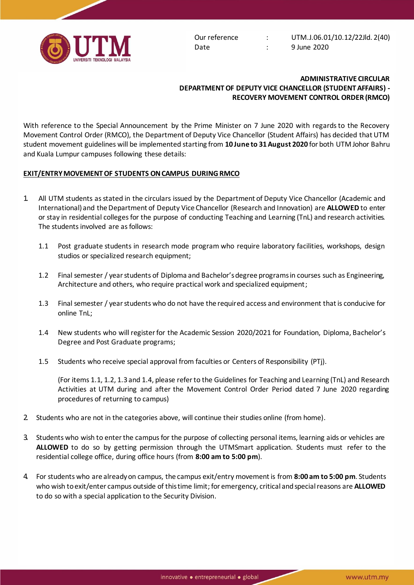

Date : 9 June 2020

## **ADMINISTRATIVE CIRCULAR DEPARTMENT OF DEPUTY VICE CHANCELLOR (STUDENT AFFAIRS) - RECOVERY MOVEMENT CONTROL ORDER (RMCO)**

With reference to the Special Announcement by the Prime Minister on 7 June 2020 with regards to the Recovery Movement Control Order (RMCO), the Department of Deputy Vice Chancellor (Student Affairs) has decided that UTM student movement guidelines will be implemented starting from **10 June to 31 August 2020** for both UTM Johor Bahru and Kuala Lumpur campuses following these details:

## **EXIT/ENTRY MOVEMENT OF STUDENTS ONCAMPUS DURING RMCO**

- 1. All UTM students as stated in the circulars issued by the Department of Deputy Vice Chancellor (Academic and International) and the Department of Deputy Vice Chancellor (Research and Innovation) are **ALLOWED** to enter or stay in residential colleges for the purpose of conducting Teaching and Learning (TnL) and research activities. The students involved are as follows:
	- 1.1 Post graduate students in research mode program who require laboratory facilities, workshops, design studios or specialized research equipment;
	- 1.2 Final semester / year students of Diploma and Bachelor's degree programs in courses such as Engineering, Architecture and others, who require practical work and specialized equipment;
	- 1.3 Final semester / year students who do not have the required access and environment that is conducive for online TnL;
	- 1.4 New students who will register for the Academic Session 2020/2021 for Foundation, Diploma, Bachelor's Degree and Post Graduate programs;
	- 1.5 Students who receive special approval from faculties or Centers of Responsibility (PTj).

(For items 1.1, 1.2, 1.3 and 1.4, please refer to the Guidelines for Teaching and Learning (TnL) and Research Activities at UTM during and after the Movement Control Order Period dated 7 June 2020 regarding procedures of returning to campus)

- 2. Students who are not in the categories above, will continue their studies online (from home).
- 3. Students who wish to enter the campus for the purpose of collecting personal items, learning aids or vehicles are **ALLOWED** to do so by getting permission through the UTMSmart application. Students must refer to the residential college office, during office hours (from **8:00 am to 5:00 pm**).
- 4. For students who are already on campus, the campus exit/entry movement is from **8:00 am to 5:00 pm**. Students who wish to exit/enter campus outside of this time limit; for emergency, critical and special reasons are **ALLOWED** to do so with a special application to the Security Division.